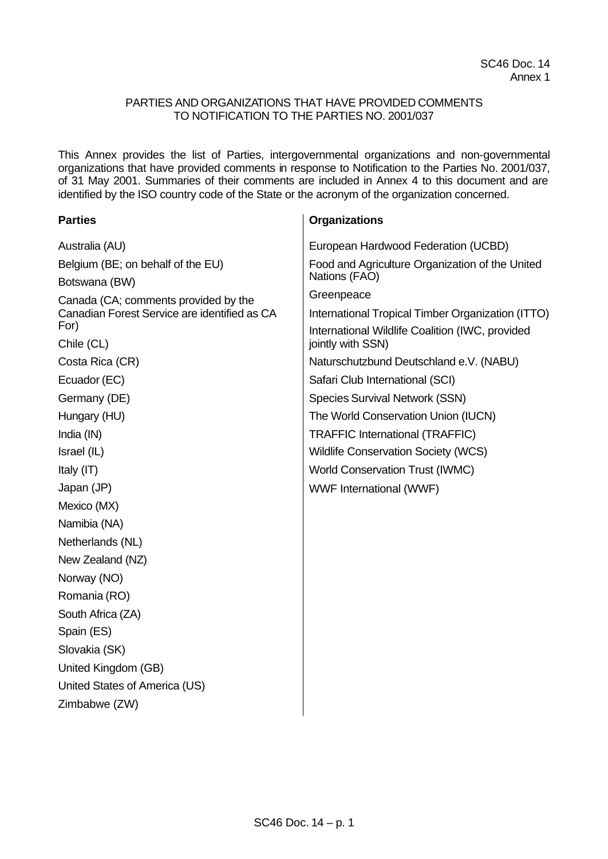## PARTIES AND ORGANIZATIONS THAT HAVE PROVIDED COMMENTS TO NOTIFICATION TO THE PARTIES NO. 2001/037

This Annex provides the list of Parties, intergovernmental organizations and non-governmental organizations that have provided comments in response to Notification to the Parties No. 2001/037, of 31 May 2001. Summaries of their comments are included in Annex 4 to this document and are identified by the ISO country code of the State or the acronym of the organization concerned.

**Organizations**

## **Parties**

| Australia (AU)                                       | European Hardwood Federation (UCBD)                                  |
|------------------------------------------------------|----------------------------------------------------------------------|
| Belgium (BE; on behalf of the EU)                    | Food and Agriculture Organization of the United                      |
| Botswana (BW)                                        | Nations (FAO)                                                        |
| Canada (CA; comments provided by the                 | Greenpeace                                                           |
| Canadian Forest Service are identified as CA<br>For) | International Tropical Timber Organization (ITTO)                    |
| Chile (CL)                                           | International Wildlife Coalition (IWC, provided<br>jointly with SSN) |
| Costa Rica (CR)                                      | Naturschutzbund Deutschland e.V. (NABU)                              |
| Ecuador (EC)                                         | Safari Club International (SCI)                                      |
| Germany (DE)                                         | <b>Species Survival Network (SSN)</b>                                |
| Hungary (HU)                                         | The World Conservation Union (IUCN)                                  |
| India (IN)                                           | <b>TRAFFIC International (TRAFFIC)</b>                               |
| Israel (IL)                                          | <b>Wildlife Conservation Society (WCS)</b>                           |
| Italy (IT)                                           | <b>World Conservation Trust (IWMC)</b>                               |
| Japan (JP)                                           | WWF International (WWF)                                              |
| Mexico (MX)                                          |                                                                      |
| Namibia (NA)                                         |                                                                      |
| Netherlands (NL)                                     |                                                                      |
| New Zealand (NZ)                                     |                                                                      |
| Norway (NO)                                          |                                                                      |
| Romania (RO)                                         |                                                                      |
| South Africa (ZA)                                    |                                                                      |
| Spain (ES)                                           |                                                                      |
| Slovakia (SK)                                        |                                                                      |
| United Kingdom (GB)                                  |                                                                      |
| United States of America (US)                        |                                                                      |
| Zimbabwe (ZW)                                        |                                                                      |
|                                                      |                                                                      |